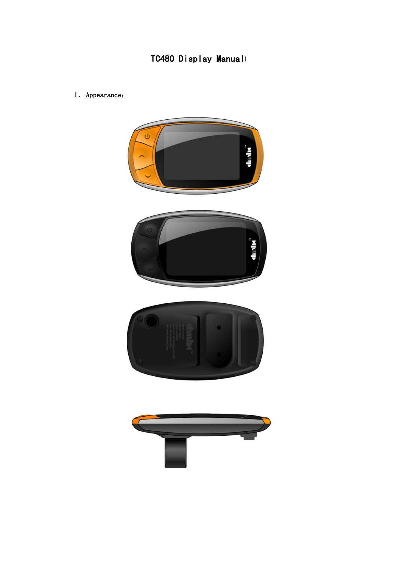## TC480 Display Manualı

1、Appearance:



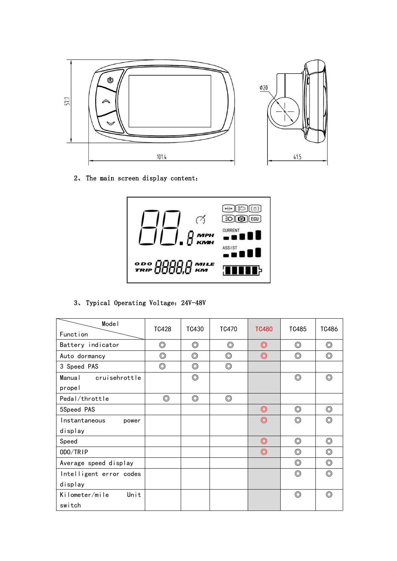

2、 The main screen display content:



3、 Typical Operating Voltage:24V-48V

| Model                   | TC428          | TC430          | TC470          | <b>TC480</b>   | TC485          | TC486          |
|-------------------------|----------------|----------------|----------------|----------------|----------------|----------------|
| Function                |                |                |                |                |                |                |
| Battery indicator       | $\circledcirc$ | $\circledcirc$ | $\circledcirc$ | $\circledcirc$ | $\circledcirc$ | $\circledcirc$ |
| Auto dormancy           | $\circledcirc$ | $\circledcirc$ | $\circledcirc$ | $\circledcirc$ | $\circledcirc$ | $\circledcirc$ |
| 3 Speed PAS             | $\circledcirc$ | $\circledcirc$ | $\circledcirc$ |                |                |                |
| cruisehrottle<br>Manual |                | $\circledcirc$ |                |                | $\circledcirc$ | $\circledcirc$ |
| propel                  |                |                |                |                |                |                |
| Pedal/throttle          | $\circledcirc$ | $\circledcirc$ | $\circledcirc$ |                |                |                |
| 5Speed PAS              |                |                |                | $\circledcirc$ | $\circledcirc$ | $\circledcirc$ |
| Instantaneous<br>power  |                |                |                | $\circledcirc$ | $\circledcirc$ | $\circledcirc$ |
| display                 |                |                |                |                |                |                |
| Speed                   |                |                |                | $\circledcirc$ | $\circledcirc$ | $\circledcirc$ |
| ODO/TRIP                |                |                |                | $\circledcirc$ | $\circledcirc$ | $\circledcirc$ |
| Average speed display   |                |                |                |                | $\circledcirc$ | $\circledcirc$ |
| Intelligent error codes |                |                |                |                | $\circledcirc$ | $\circledcirc$ |
| display                 |                |                |                |                |                |                |
| Unit<br>Kilometer/mile  |                |                |                |                | $\circledcirc$ | $\circledcirc$ |
| switch                  |                |                |                |                |                |                |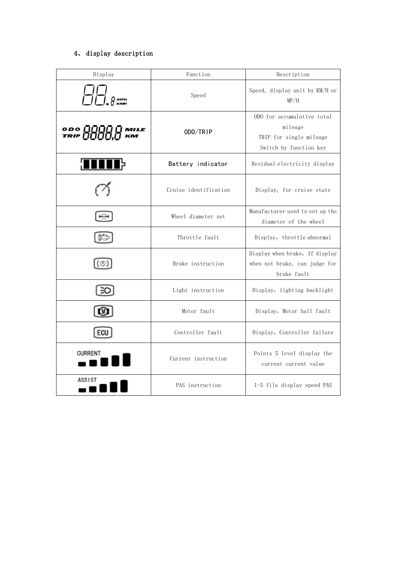## 4、 display description

| Display                  | Function              | Description                                                                                |
|--------------------------|-----------------------|--------------------------------------------------------------------------------------------|
| <b>MPH</b><br><b>KMH</b> | Speed                 | Speed, display unit by KM/H or<br>MP/H                                                     |
| 0 DO 000<br>TRIP 000     | ODO/TRIP              | ODO for accumulative total<br>mileage<br>TRIP for single mileage<br>Switch by function key |
|                          | Battery indicator     | Residual electricity display                                                               |
|                          | Cruise identification | Display, for cruise state                                                                  |
|                          | Wheel diameter set    | Manufacturer used to set up the<br>diameter of the wheel                                   |
|                          | Throttle fault        | Display, throttle abnormal                                                                 |
| (①)                      | Brake instruction     | Display when brake, If display<br>when not brake, can judge for<br>brake fault             |
| ЭC                       | Light instruction     | Display, lighting backlight                                                                |
|                          | Motor fault           | Display, Motor hall fault                                                                  |
| ECU                      | Controller fault      | Display, Controller failure                                                                |
| <b>CURRENT</b>           | Current instruction   | Points 5 level display the<br>current current value                                        |
| <b>ASSIST</b>            | PAS instruction       | 1-5 file display speed PAS                                                                 |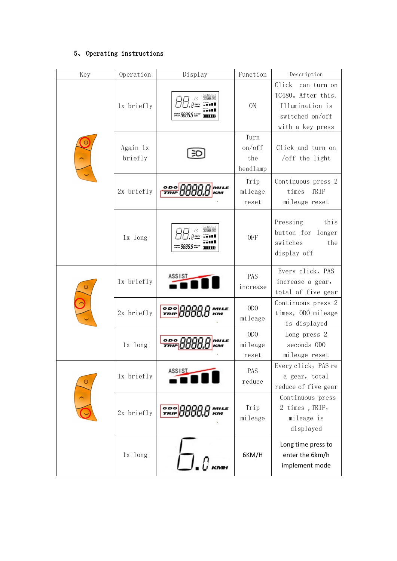## 5、 Operating instructions

| Key     | Operation           | Display                                                        | Function                                                                               | Description                                                                                       |
|---------|---------------------|----------------------------------------------------------------|----------------------------------------------------------------------------------------|---------------------------------------------------------------------------------------------------|
|         | 1x briefly          | apa<br>300                                                     | 0N                                                                                     | Click can turn on<br>TC480. After this,<br>Illumination is<br>switched on/off<br>with a key press |
|         | Again 1x<br>briefly |                                                                | Turn<br>on/off<br>the<br>headlamp                                                      | Click and turn on<br>$/$ off the light                                                            |
|         | 2x briefly          | 0D0<br>WILE<br><b>TRIP</b><br>ĸм                               | Trip<br>mileage<br>reset                                                               | Continuous press 2<br>TRIP<br>times<br>mileage reset                                              |
|         | 1x long             | $\Theta$ $[$ $\Theta$ $]$ $[$ $\Theta$ $]$<br>30 <b>@</b> [60] | <b>OFF</b>                                                                             | Pressing<br>this<br>button for longer<br>switches<br>the<br>display off                           |
|         | 1x briefly          | <b>ASSIST</b>                                                  | PAS<br>increase                                                                        | Every click, PAS<br>increase a gear,<br>total of five gear                                        |
|         | 2x briefly          | $\frac{0}{TRIP}$<br>MILE<br>км                                 | ODO<br>mileage<br>ODO<br>mileage<br>reset<br>PAS<br>reduce<br>Trip<br>mileage<br>6KM/H | Continuous press 2<br>times, ODO mileage<br>is displayed                                          |
|         | 1x long             | $\frac{200}{TR}$<br>MILE<br>ĸм                                 |                                                                                        | Long press 2<br>seconds ODO<br>mileage reset                                                      |
| $\circ$ | 1x briefly          | <b>ASSIST</b>                                                  |                                                                                        | Every click, PAS re<br>a gear, total<br>reduce of five gear                                       |
|         | 2x briefly          | <b>MILE</b><br>км                                              |                                                                                        | Continuous press<br>2 times, TRIP,<br>mileage is<br>displayed                                     |
|         | 1x long             |                                                                |                                                                                        | Long time press to<br>enter the 6km/h<br>implement mode                                           |